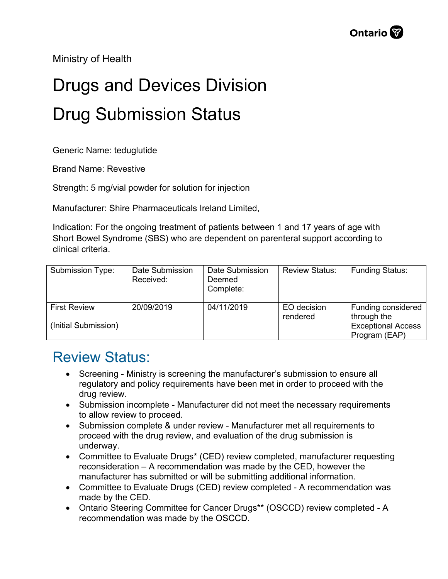Ministry of Health

## Drugs and Devices Division Drug Submission Status

Generic Name: teduglutide

Brand Name: Revestive

Strength: 5 mg/vial powder for solution for injection

Manufacturer: Shire Pharmaceuticals Ireland Limited,

Indication: For the ongoing treatment of patients between 1 and 17 years of age with Short Bowel Syndrome (SBS) who are dependent on parenteral support according to clinical criteria.

| Submission Type:                            | Date Submission<br>Received: | Date Submission<br>Deemed<br>Complete: | <b>Review Status:</b>   | <b>Funding Status:</b>                                                          |
|---------------------------------------------|------------------------------|----------------------------------------|-------------------------|---------------------------------------------------------------------------------|
| <b>First Review</b><br>(Initial Submission) | 20/09/2019                   | 04/11/2019                             | EO decision<br>rendered | Funding considered<br>through the<br><b>Exceptional Access</b><br>Program (EAP) |

## Review Status:

- Screening Ministry is screening the manufacturer's submission to ensure all regulatory and policy requirements have been met in order to proceed with the drug review.
- Submission incomplete Manufacturer did not meet the necessary requirements to allow review to proceed.
- Submission complete & under review Manufacturer met all requirements to proceed with the drug review, and evaluation of the drug submission is underway.
- Committee to Evaluate Drugs\* (CED) review completed, manufacturer requesting reconsideration – A recommendation was made by the CED, however the manufacturer has submitted or will be submitting additional information.
- Committee to Evaluate Drugs (CED) review completed A recommendation was made by the CED.
- Ontario Steering Committee for Cancer Drugs\*\* (OSCCD) review completed A recommendation was made by the OSCCD.